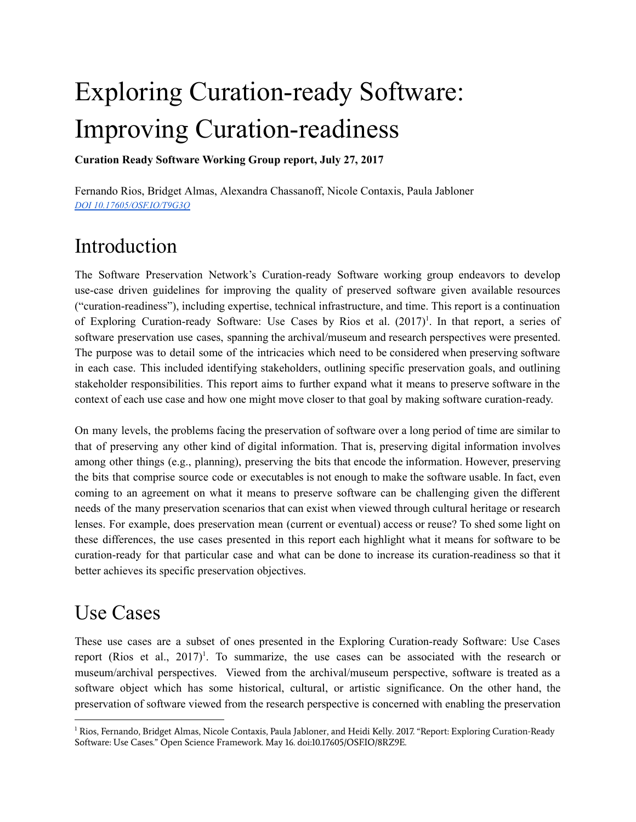# Exploring Curation-ready Software: Improving Curation-readiness

Curation Ready Software Working Group report, July 27, 2017

Fernando Rios, Bridget Almas, Alexandra Chassanoff, Nicole Contaxis, Paula Jabloner *DOI [10.17605/OSF.IO/T9G3Q](http://doi.org/10.17605/OSF.IO/T9G3Q)*

# Introduction

The Software Preservation Network's Curation-ready Software working group endeavors to develop use-case driven guidelines for improving the quality of preserved software given available resources ("curation-readiness"), including expertise, technical infrastructure, and time. This report is a continuation of Exploring Curation-ready Software: Use Cases by Rios et al. (2017)<sup>1</sup>. In that report, a series of software preservation use cases, spanning the archival/museum and research perspectives were presented. The purpose was to detail some of the intricacies which need to be considered when preserving software in each case. This included identifying stakeholders, outlining specific preservation goals, and outlining stakeholder responsibilities. This report aims to further expand what it means to preserve software in the context of each use case and how one might move closer to that goal by making software curation-ready.

On many levels, the problems facing the preservation of software over a long period of time are similar to that of preserving any other kind of digital information. That is, preserving digital information involves among other things (e.g., planning), preserving the bits that encode the information. However, preserving the bits that comprise source code or executables is not enough to make the software usable. In fact, even coming to an agreement on what it means to preserve software can be challenging given the different needs of the many preservation scenarios that can exist when viewed through cultural heritage or research lenses. For example, does preservation mean (current or eventual) access or reuse? To shed some light on these differences, the use cases presented in this report each highlight what it means for software to be curation-ready for that particular case and what can be done to increase its curation-readiness so that it better achieves its specific preservation objectives.

# Use Cases

These use cases are a subset of ones presented in the Exploring Curation-ready Software: Use Cases report (Rios et al., 2017) 1 . To summarize, the use cases can be associated with the research or museum/archival perspectives. Viewed from the archival/museum perspective, software is treated as a software object which has some historical, cultural, or artistic significance. On the other hand, the preservation of software viewed from the research perspective is concerned with enabling the preservation

 $1$  Rios, Fernando, Bridget Almas, Nicole Contaxis, Paula Jabloner, and Heidi Kelly. 2017. "Report: Exploring Curation-Ready Software: Use Cases." Open Science Framework. May 16. doi:10.17605/OSF.IO/8RZ9E.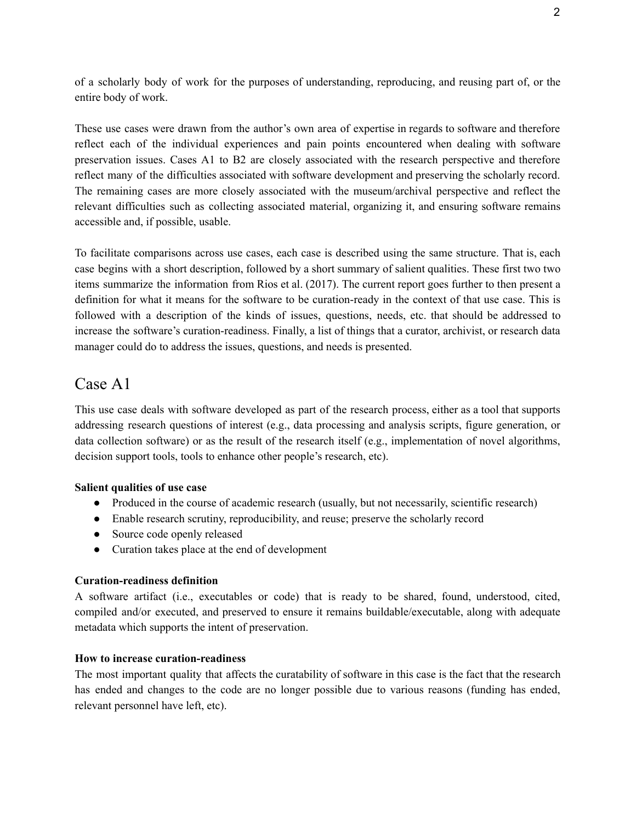of a scholarly body of work for the purposes of understanding, reproducing, and reusing part of, or the entire body of work.

These use cases were drawn from the author's own area of expertise in regards to software and therefore reflect each of the individual experiences and pain points encountered when dealing with software preservation issues. Cases A1 to B2 are closely associated with the research perspective and therefore reflect many of the difficulties associated with software development and preserving the scholarly record. The remaining cases are more closely associated with the museum/archival perspective and reflect the relevant difficulties such as collecting associated material, organizing it, and ensuring software remains accessible and, if possible, usable.

To facilitate comparisons across use cases, each case is described using the same structure. That is, each case begins with a short description, followed by a short summary of salient qualities. These first two two items summarize the information from Rios et al. (2017). The current report goes further to then present a definition for what it means for the software to be curation-ready in the context of that use case. This is followed with a description of the kinds of issues, questions, needs, etc. that should be addressed to increase the software's curation-readiness. Finally, a list of things that a curator, archivist, or research data manager could do to address the issues, questions, and needs is presented.

### Case A1

This use case deals with software developed as part of the research process, either as a tool that supports addressing research questions of interest (e.g., data processing and analysis scripts, figure generation, or data collection software) or as the result of the research itself (e.g., implementation of novel algorithms, decision support tools, tools to enhance other people's research, etc).

### Salient qualities of use case

- Produced in the course of academic research (usually, but not necessarily, scientific research)
- Enable research scrutiny, reproducibility, and reuse; preserve the scholarly record
- Source code openly released
- Curation takes place at the end of development

### Curation-readiness definition

A software artifact (i.e., executables or code) that is ready to be shared, found, understood, cited, compiled and/or executed, and preserved to ensure it remains buildable/executable, along with adequate metadata which supports the intent of preservation.

### How to increase curation-readiness

The most important quality that affects the curatability of software in this case is the fact that the research has ended and changes to the code are no longer possible due to various reasons (funding has ended, relevant personnel have left, etc).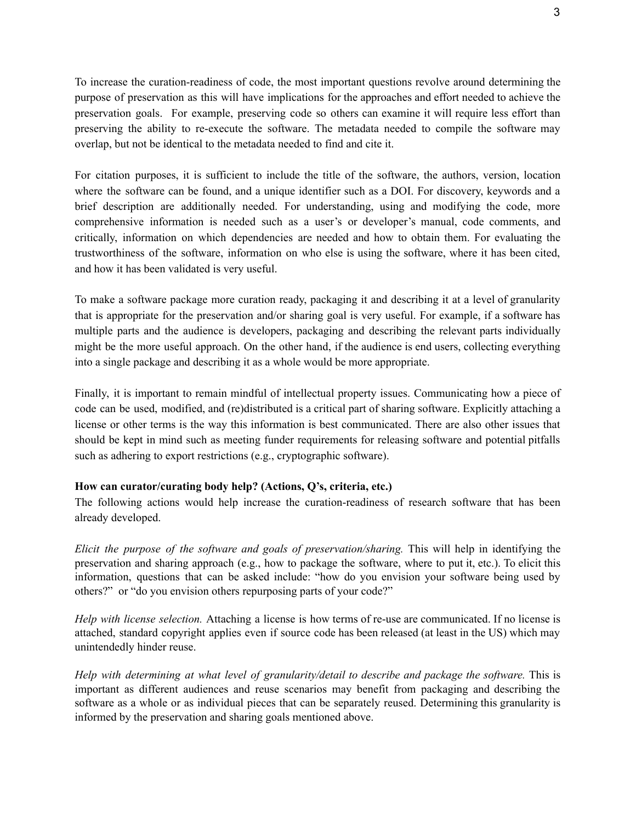To increase the curation-readiness of code, the most important questions revolve around determining the purpose of preservation as this will have implications for the approaches and effort needed to achieve the preservation goals. For example, preserving code so others can examine it will require less effort than preserving the ability to re-execute the software. The metadata needed to compile the software may overlap, but not be identical to the metadata needed to find and cite it.

For citation purposes, it is sufficient to include the title of the software, the authors, version, location where the software can be found, and a unique identifier such as a DOI. For discovery, keywords and a brief description are additionally needed. For understanding, using and modifying the code, more comprehensive information is needed such as a user's or developer's manual, code comments, and critically, information on which dependencies are needed and how to obtain them. For evaluating the trustworthiness of the software, information on who else is using the software, where it has been cited, and how it has been validated is very useful.

To make a software package more curation ready, packaging it and describing it at a level of granularity that is appropriate for the preservation and/or sharing goal is very useful. For example, if a software has multiple parts and the audience is developers, packaging and describing the relevant parts individually might be the more useful approach. On the other hand, if the audience is end users, collecting everything into a single package and describing it as a whole would be more appropriate.

Finally, it is important to remain mindful of intellectual property issues. Communicating how a piece of code can be used, modified, and (re)distributed is a critical part of sharing software. Explicitly attaching a license or other terms is the way this information is best communicated. There are also other issues that should be kept in mind such as meeting funder requirements for releasing software and potential pitfalls such as adhering to export restrictions (e.g., cryptographic software).

### How can curator/curating body help? (Actions, Q's, criteria, etc.)

The following actions would help increase the curation-readiness of research software that has been already developed.

*Elicit the purpose of the software and goals of preservation/sharing.* This will help in identifying the preservation and sharing approach (e.g., how to package the software, where to put it, etc.). To elicit this information, questions that can be asked include: "how do you envision your software being used by others?" or "do you envision others repurposing parts of your code?"

*Help with license selection.* Attaching a license is how terms of re-use are communicated. If no license is attached, standard copyright applies even if source code has been released (at least in the US) which may unintendedly hinder reuse.

*Help with determining at what level of granularity/detail to describe and package the software.* This is important as different audiences and reuse scenarios may benefit from packaging and describing the software as a whole or as individual pieces that can be separately reused. Determining this granularity is informed by the preservation and sharing goals mentioned above.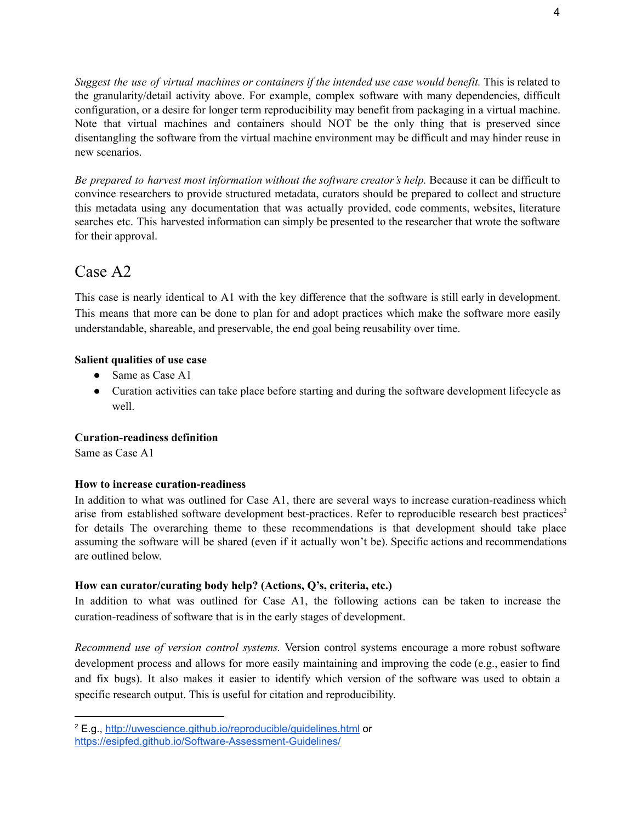*Suggest the use of virtual machines or containers if the intended use case would benefit.* This is related to the granularity/detail activity above. For example, complex software with many dependencies, difficult configuration, or a desire for longer term reproducibility may benefit from packaging in a virtual machine. Note that virtual machines and containers should NOT be the only thing that is preserved since disentangling the software from the virtual machine environment may be difficult and may hinder reuse in new scenarios.

*Be prepared to harvest most information without the software creator's help.* Because it can be difficult to convince researchers to provide structured metadata, curators should be prepared to collect and structure this metadata using any documentation that was actually provided, code comments, websites, literature searches etc. This harvested information can simply be presented to the researcher that wrote the software for their approval.

### Case A2

This case is nearly identical to A1 with the key difference that the software is still early in development. This means that more can be done to plan for and adopt practices which make the software more easily understandable, shareable, and preservable, the end goal being reusability over time.

### Salient qualities of use case

- Same as Case A1
- Curation activities can take place before starting and during the software development lifecycle as well.

### Curation-readiness definition

Same as Case A1

### How to increase curation-readiness

In addition to what was outlined for Case A1, there are several ways to increase curation-readiness which arise from established software development best-practices. Refer to reproducible research best practices 2 for details The overarching theme to these recommendations is that development should take place assuming the software will be shared (even if it actually won't be). Specific actions and recommendations are outlined below.

### How can curator/curating body help? (Actions, Q's, criteria, etc.)

In addition to what was outlined for Case A1, the following actions can be taken to increase the curation-readiness of software that is in the early stages of development.

*Recommend use of version control systems.* Version control systems encourage a more robust software development process and allows for more easily maintaining and improving the code (e.g., easier to find and fix bugs). It also makes it easier to identify which version of the software was used to obtain a specific research output. This is useful for citation and reproducibility.

<sup>2</sup> E.g., <http://uwescience.github.io/reproducible/guidelines.html> or <https://esipfed.github.io/Software-Assessment-Guidelines/>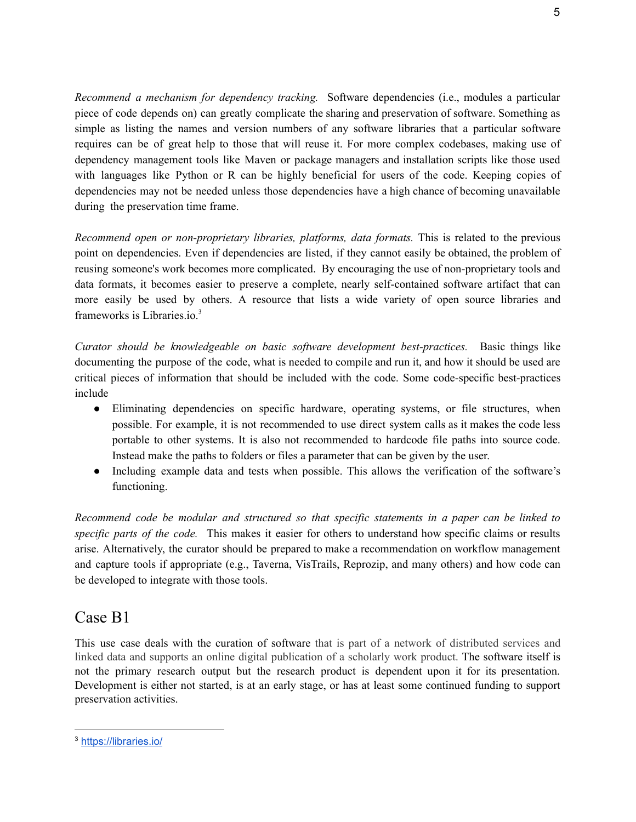*Recommend a mechanism for dependency tracking.* Software dependencies (i.e., modules a particular piece of code depends on) can greatly complicate the sharing and preservation of software. Something as simple as listing the names and version numbers of any software libraries that a particular software requires can be of great help to those that will reuse it. For more complex codebases, making use of dependency management tools like Maven or package managers and installation scripts like those used with languages like Python or R can be highly beneficial for users of the code. Keeping copies of dependencies may not be needed unless those dependencies have a high chance of becoming unavailable during the preservation time frame.

*Recommend open or non-proprietary libraries, platforms, data formats.* This is related to the previous point on dependencies. Even if dependencies are listed, if they cannot easily be obtained, the problem of reusing someone's work becomes more complicated. By encouraging the use of non-proprietary tools and data formats, it becomes easier to preserve a complete, nearly self-contained software artifact that can more easily be used by others. A resource that lists a wide variety of open source libraries and frameworks is Libraries.io. 3

*Curator should be knowledgeable on basic software development best-practices.* Basic things like documenting the purpose of the code, what is needed to compile and run it, and how it should be used are critical pieces of information that should be included with the code. Some code-specific best-practices include

- Eliminating dependencies on specific hardware, operating systems, or file structures, when possible. For example, it is not recommended to use direct system calls as it makes the code less portable to other systems. It is also not recommended to hardcode file paths into source code. Instead make the paths to folders or files a parameter that can be given by the user.
- Including example data and tests when possible. This allows the verification of the software's functioning.

*Recommend code be modular and structured so that specific statements in a paper can be linked to specific parts of the code.* This makes it easier for others to understand how specific claims or results arise. Alternatively, the curator should be prepared to make a recommendation on workflow management and capture tools if appropriate (e.g., Taverna, VisTrails, Reprozip, and many others) and how code can be developed to integrate with those tools.

### Case B1

This use case deals with the curation of software that is part of a network of distributed services and linked data and supports an online digital publication of a scholarly work product. The software itself is not the primary research output but the research product is dependent upon it for its presentation. Development is either not started, is at an early stage, or has at least some continued funding to support preservation activities.

<sup>3</sup> <https://libraries.io/>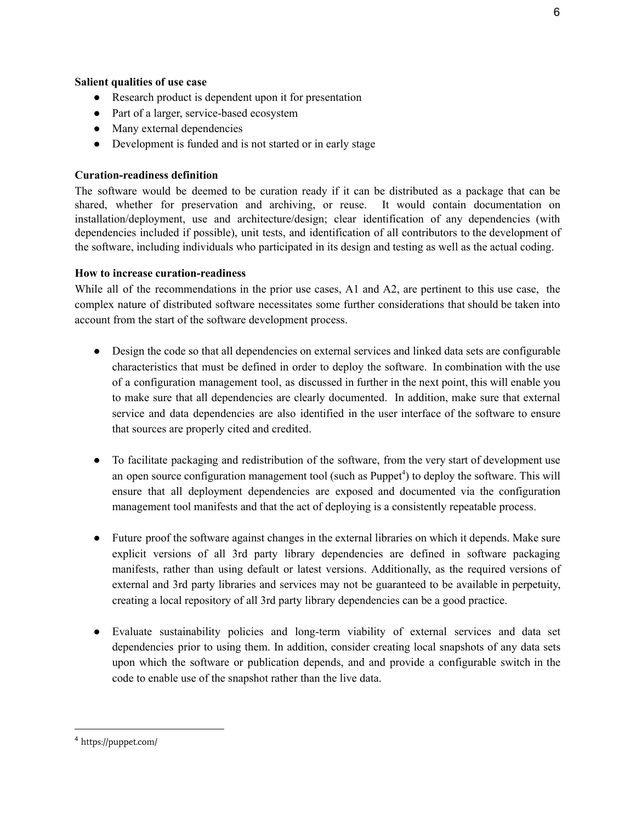### Salient qualities of use case

- Research product is dependent upon it for presentation
- Part of a larger, service-based ecosystem
- Many external dependencies
- Development is funded and is not started or in early stage

### Curation-readiness definition

The software would be deemed to be curation ready if it can be distributed as a package that can be shared, whether for preservation and archiving, or reuse. It would contain documentation on installation/deployment, use and architecture/design; clear identification of any dependencies (with dependencies included if possible), unit tests, and identification of all contributors to the development of the software, including individuals who participated in its design and testing as well as the actual coding.

### How to increase curation-readiness

While all of the recommendations in the prior use cases, A1 and A2, are pertinent to this use case, the complex nature of distributed software necessitates some further considerations that should be taken into account from the start of the software development process.

- Design the code so that all dependencies on external services and linked data sets are configurable characteristics that must be defined in order to deploy the software. In combination with the use of a configuration management tool, as discussed in further in the next point, this will enable you to make sure that all dependencies are clearly documented. In addition, make sure that external service and data dependencies are also identified in the user interface of the software to ensure that sources are properly cited and credited.
- To facilitate packaging and redistribution of the software, from the very start of development use an open source configuration management tool (such as Puppet<sup>4</sup>) to deploy the software. This will ensure that all deployment dependencies are exposed and documented via the configuration management tool manifests and that the act of deploying is a consistently repeatable process.
- Future proof the software against changes in the external libraries on which it depends. Make sure explicit versions of all 3rd party library dependencies are defined in software packaging manifests, rather than using default or latest versions. Additionally, as the required versions of external and 3rd party libraries and services may not be guaranteed to be available in perpetuity, creating a local repository of all 3rd party library dependencies can be a good practice.
- Evaluate sustainability policies and long-term viability of external services and data set dependencies prior to using them. In addition, consider creating local snapshots of any data sets upon which the software or publication depends, and and provide a configurable switch in the code to enable use of the snapshot rather than the live data.

<sup>4</sup> https://puppet.com/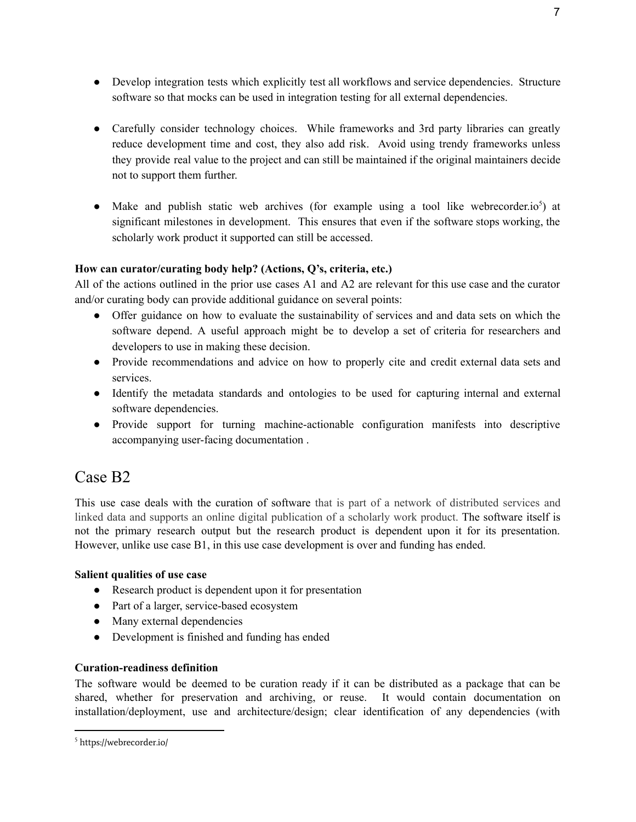- Develop integration tests which explicitly test all workflows and service dependencies. Structure software so that mocks can be used in integration testing for all external dependencies.
- Carefully consider technology choices. While frameworks and 3rd party libraries can greatly reduce development time and cost, they also add risk. Avoid using trendy frameworks unless they provide real value to the project and can still be maintained if the original maintainers decide not to support them further.
- $\bullet$  Make and publish static web archives (for example using a tool like webrecorder.io<sup>5</sup>) at significant milestones in development. This ensures that even if the software stops working, the scholarly work product it supported can still be accessed.

### How can curator/curating body help? (Actions, Q's, criteria, etc.)

All of the actions outlined in the prior use cases A1 and A2 are relevant for this use case and the curator and/or curating body can provide additional guidance on several points:

- Offer guidance on how to evaluate the sustainability of services and and data sets on which the software depend. A useful approach might be to develop a set of criteria for researchers and developers to use in making these decision.
- Provide recommendations and advice on how to properly cite and credit external data sets and services.
- Identify the metadata standards and ontologies to be used for capturing internal and external software dependencies.
- Provide support for turning machine-actionable configuration manifests into descriptive accompanying user-facing documentation .

### Case B2

This use case deals with the curation of software that is part of a network of distributed services and linked data and supports an online digital publication of a scholarly work product. The software itself is not the primary research output but the research product is dependent upon it for its presentation. However, unlike use case B1, in this use case development is over and funding has ended.

### Salient qualities of use case

- Research product is dependent upon it for presentation
- Part of a larger, service-based ecosystem
- Many external dependencies
- Development is finished and funding has ended

### Curation-readiness definition

The software would be deemed to be curation ready if it can be distributed as a package that can be shared, whether for preservation and archiving, or reuse. It would contain documentation on installation/deployment, use and architecture/design; clear identification of any dependencies (with

<sup>5</sup> https://webrecorder.io/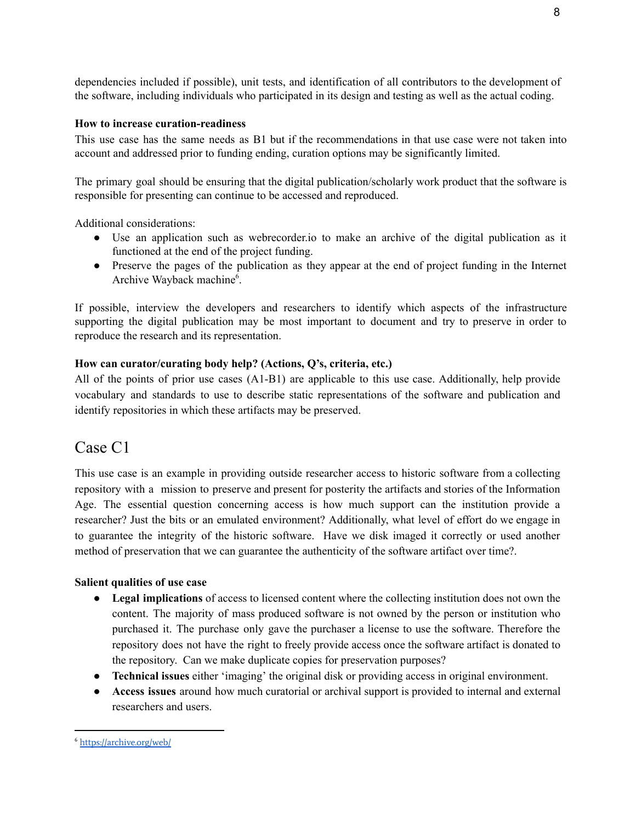dependencies included if possible), unit tests, and identification of all contributors to the development of the software, including individuals who participated in its design and testing as well as the actual coding.

### How to increase curation-readiness

This use case has the same needs as B1 but if the recommendations in that use case were not taken into account and addressed prior to funding ending, curation options may be significantly limited.

The primary goal should be ensuring that the digital publication/scholarly work product that the software is responsible for presenting can continue to be accessed and reproduced.

Additional considerations:

- Use an application such as webrecorder.io to make an archive of the digital publication as it functioned at the end of the project funding.
- Preserve the pages of the publication as they appear at the end of project funding in the Internet Archive Wayback machine<sup>6</sup>.

If possible, interview the developers and researchers to identify which aspects of the infrastructure supporting the digital publication may be most important to document and try to preserve in order to reproduce the research and its representation.

### How can curator/curating body help? (Actions, Q's, criteria, etc.)

All of the points of prior use cases (A1-B1) are applicable to this use case. Additionally, help provide vocabulary and standards to use to describe static representations of the software and publication and identify repositories in which these artifacts may be preserved.

### Case C1

This use case is an example in providing outside researcher access to historic software from a collecting repository with a mission to preserve and present for posterity the artifacts and stories of the Information Age. The essential question concerning access is how much support can the institution provide a researcher? Just the bits or an emulated environment? Additionally, what level of effort do we engage in to guarantee the integrity of the historic software. Have we disk imaged it correctly or used another method of preservation that we can guarantee the authenticity of the software artifact over time?.

### Salient qualities of use case

- Legal implications of access to licensed content where the collecting institution does not own the content. The majority of mass produced software is not owned by the person or institution who purchased it. The purchase only gave the purchaser a license to use the software. Therefore the repository does not have the right to freely provide access once the software artifact is donated to the repository. Can we make duplicate copies for preservation purposes?
- Technical issues either 'imaging' the original disk or providing access in original environment.
- Access issues around how much curatorial or archival support is provided to internal and external researchers and users.

<sup>6</sup> <https://archive.org/web/>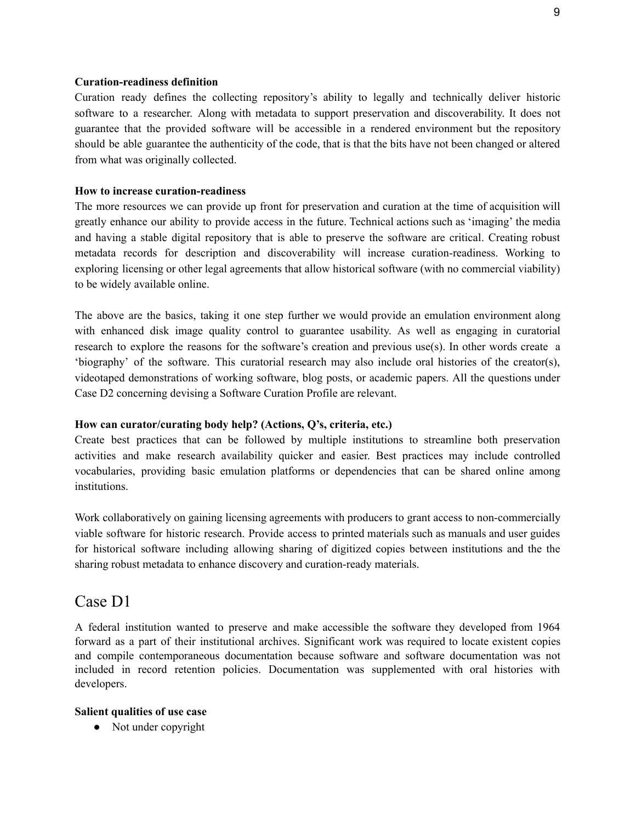#### Curation-readiness definition

Curation ready defines the collecting repository's ability to legally and technically deliver historic software to a researcher. Along with metadata to support preservation and discoverability. It does not guarantee that the provided software will be accessible in a rendered environment but the repository should be able guarantee the authenticity of the code, that is that the bits have not been changed or altered from what was originally collected.

#### How to increase curation-readiness

The more resources we can provide up front for preservation and curation at the time of acquisition will greatly enhance our ability to provide access in the future. Technical actions such as 'imaging' the media and having a stable digital repository that is able to preserve the software are critical. Creating robust metadata records for description and discoverability will increase curation-readiness. Working to exploring licensing or other legal agreements that allow historical software (with no commercial viability) to be widely available online.

The above are the basics, taking it one step further we would provide an emulation environment along with enhanced disk image quality control to guarantee usability. As well as engaging in curatorial research to explore the reasons for the software's creation and previous use(s). In other words create a 'biography' of the software. This curatorial research may also include oral histories of the creator(s), videotaped demonstrations of working software, blog posts, or academic papers. All the questions under Case D2 concerning devising a Software Curation Profile are relevant.

#### How can curator/curating body help? (Actions, Q's, criteria, etc.)

Create best practices that can be followed by multiple institutions to streamline both preservation activities and make research availability quicker and easier. Best practices may include controlled vocabularies, providing basic emulation platforms or dependencies that can be shared online among institutions.

Work collaboratively on gaining licensing agreements with producers to grant access to non-commercially viable software for historic research. Provide access to printed materials such as manuals and user guides for historical software including allowing sharing of digitized copies between institutions and the the sharing robust metadata to enhance discovery and curation-ready materials.

### Case D1

A federal institution wanted to preserve and make accessible the software they developed from 1964 forward as a part of their institutional archives. Significant work was required to locate existent copies and compile contemporaneous documentation because software and software documentation was not included in record retention policies. Documentation was supplemented with oral histories with developers.

#### Salient qualities of use case

• Not under copyright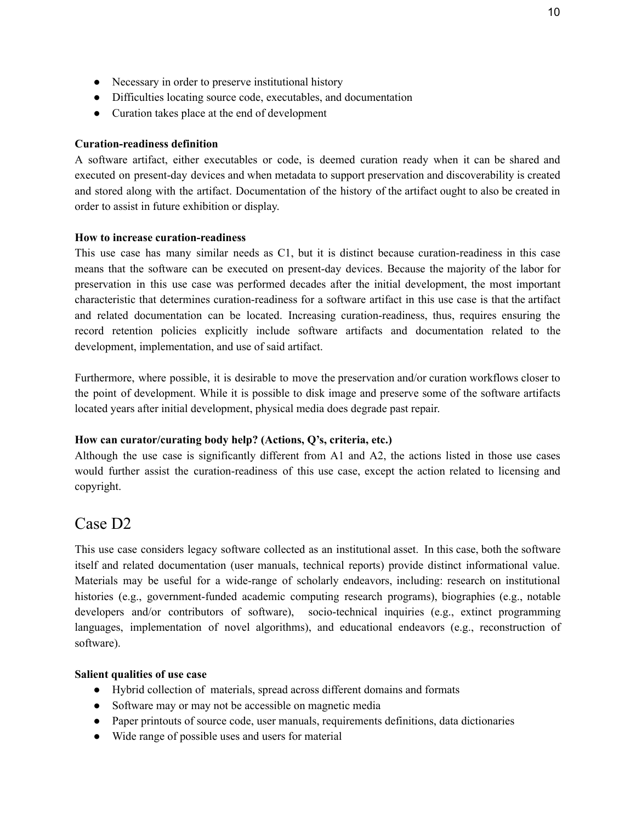- Necessary in order to preserve institutional history
- Difficulties locating source code, executables, and documentation
- Curation takes place at the end of development

### Curation-readiness definition

A software artifact, either executables or code, is deemed curation ready when it can be shared and executed on present-day devices and when metadata to support preservation and discoverability is created and stored along with the artifact. Documentation of the history of the artifact ought to also be created in order to assist in future exhibition or display.

### How to increase curation-readiness

This use case has many similar needs as C1, but it is distinct because curation-readiness in this case means that the software can be executed on present-day devices. Because the majority of the labor for preservation in this use case was performed decades after the initial development, the most important characteristic that determines curation-readiness for a software artifact in this use case is that the artifact and related documentation can be located. Increasing curation-readiness, thus, requires ensuring the record retention policies explicitly include software artifacts and documentation related to the development, implementation, and use of said artifact.

Furthermore, where possible, it is desirable to move the preservation and/or curation workflows closer to the point of development. While it is possible to disk image and preserve some of the software artifacts located years after initial development, physical media does degrade past repair.

### How can curator/curating body help? (Actions, Q's, criteria, etc.)

Although the use case is significantly different from A1 and A2, the actions listed in those use cases would further assist the curation-readiness of this use case, except the action related to licensing and copyright.

### Case D2

This use case considers legacy software collected as an institutional asset. In this case, both the software itself and related documentation (user manuals, technical reports) provide distinct informational value. Materials may be useful for a wide-range of scholarly endeavors, including: research on institutional histories (e.g., government-funded academic computing research programs), biographies (e.g., notable developers and/or contributors of software), socio-technical inquiries (e.g., extinct programming languages, implementation of novel algorithms), and educational endeavors (e.g., reconstruction of software).

### Salient qualities of use case

- Hybrid collection of materials, spread across different domains and formats
- Software may or may not be accessible on magnetic media
- Paper printouts of source code, user manuals, requirements definitions, data dictionaries
- Wide range of possible uses and users for material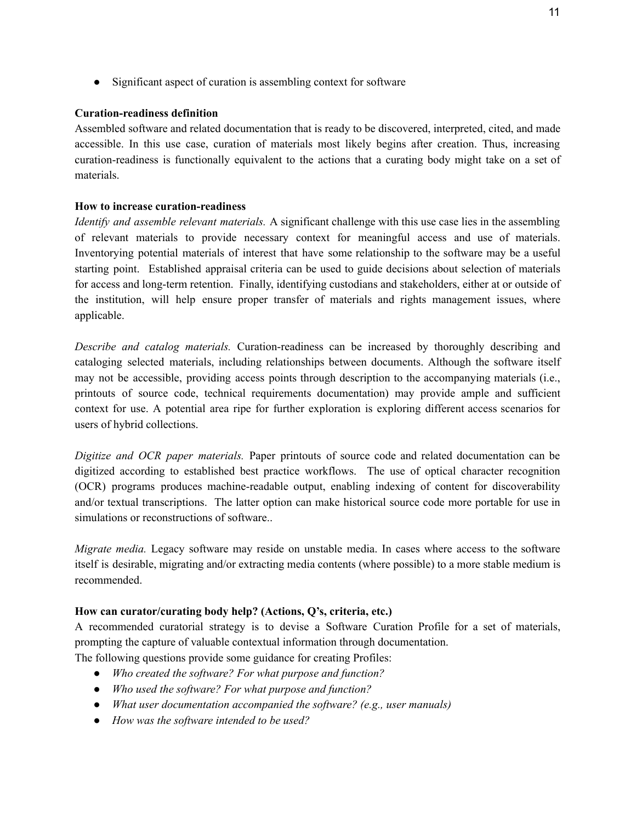• Significant aspect of curation is assembling context for software

### Curation-readiness definition

Assembled software and related documentation that is ready to be discovered, interpreted, cited, and made accessible. In this use case, curation of materials most likely begins after creation. Thus, increasing curation-readiness is functionally equivalent to the actions that a curating body might take on a set of materials.

### How to increase curation-readiness

*Identify and assemble relevant materials.* A significant challenge with this use case lies in the assembling of relevant materials to provide necessary context for meaningful access and use of materials. Inventorying potential materials of interest that have some relationship to the software may be a useful starting point. Established appraisal criteria can be used to guide decisions about selection of materials for access and long-term retention. Finally, identifying custodians and stakeholders, either at or outside of the institution, will help ensure proper transfer of materials and rights management issues, where applicable.

*Describe and catalog materials.* Curation-readiness can be increased by thoroughly describing and cataloging selected materials, including relationships between documents. Although the software itself may not be accessible, providing access points through description to the accompanying materials (i.e., printouts of source code, technical requirements documentation) may provide ample and sufficient context for use. A potential area ripe for further exploration is exploring different access scenarios for users of hybrid collections.

*Digitize and OCR paper materials.* Paper printouts of source code and related documentation can be digitized according to established best practice workflows. The use of optical character recognition (OCR) programs produces machine-readable output, enabling indexing of content for discoverability and/or textual transcriptions. The latter option can make historical source code more portable for use in simulations or reconstructions of software...

*Migrate media.* Legacy software may reside on unstable media. In cases where access to the software itself is desirable, migrating and/or extracting media contents (where possible) to a more stable medium is recommended.

### How can curator/curating body help? (Actions, Q's, criteria, etc.)

A recommended curatorial strategy is to devise a Software Curation Profile for a set of materials, prompting the capture of valuable contextual information through documentation.

The following questions provide some guidance for creating Profiles:

- *Who created the software? For what purpose and function?*
- *Who used the software? For what purpose and function?*
- *What user documentation accompanied the software? (e.g., user manuals)*
- *How was the software intended to be used?*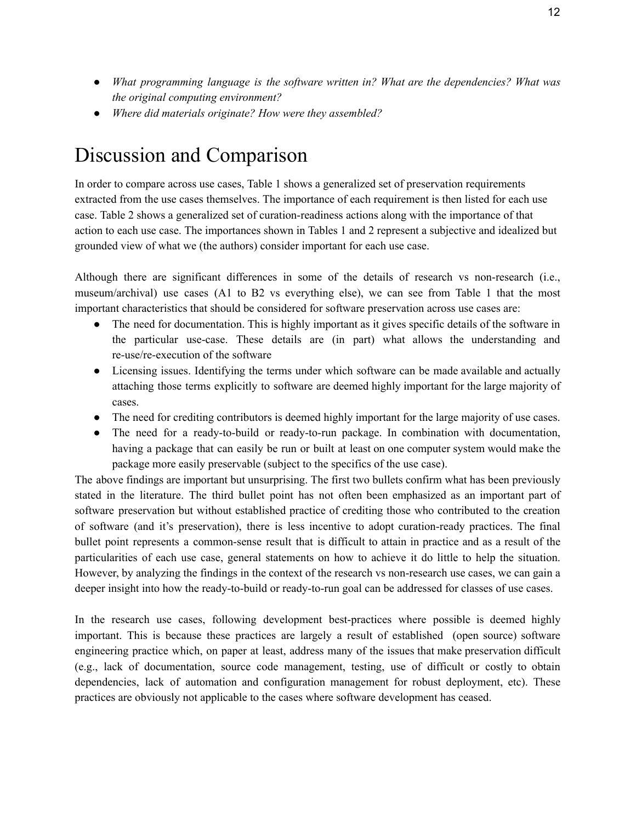- *What programming language is the software written in? What are the dependencies? What was the original computing environment?*
- *Where did materials originate? How were they assembled?*

# Discussion and Comparison

In order to compare across use cases, Table 1 shows a generalized set of preservation requirements extracted from the use cases themselves. The importance of each requirement is then listed for each use case. Table 2 shows a generalized set of curation-readiness actions along with the importance of that action to each use case. The importances shown in Tables 1 and 2 represent a subjective and idealized but grounded view of what we (the authors) consider important for each use case.

Although there are significant differences in some of the details of research vs non-research (i.e., museum/archival) use cases (A1 to B2 vs everything else), we can see from Table 1 that the most important characteristics that should be considered for software preservation across use cases are:

- The need for documentation. This is highly important as it gives specific details of the software in the particular use-case. These details are (in part) what allows the understanding and re-use/re-execution of the software
- Licensing issues. Identifying the terms under which software can be made available and actually attaching those terms explicitly to software are deemed highly important for the large majority of cases.
- The need for crediting contributors is deemed highly important for the large majority of use cases.
- The need for a ready-to-build or ready-to-run package. In combination with documentation, having a package that can easily be run or built at least on one computer system would make the package more easily preservable (subject to the specifics of the use case).

The above findings are important but unsurprising. The first two bullets confirm what has been previously stated in the literature. The third bullet point has not often been emphasized as an important part of software preservation but without established practice of crediting those who contributed to the creation of software (and it's preservation), there is less incentive to adopt curation-ready practices. The final bullet point represents a common-sense result that is difficult to attain in practice and as a result of the particularities of each use case, general statements on how to achieve it do little to help the situation. However, by analyzing the findings in the context of the research vs non-research use cases, we can gain a deeper insight into how the ready-to-build or ready-to-run goal can be addressed for classes of use cases.

In the research use cases, following development best-practices where possible is deemed highly important. This is because these practices are largely a result of established (open source) software engineering practice which, on paper at least, address many of the issues that make preservation difficult (e.g., lack of documentation, source code management, testing, use of difficult or costly to obtain dependencies, lack of automation and configuration management for robust deployment, etc). These practices are obviously not applicable to the cases where software development has ceased.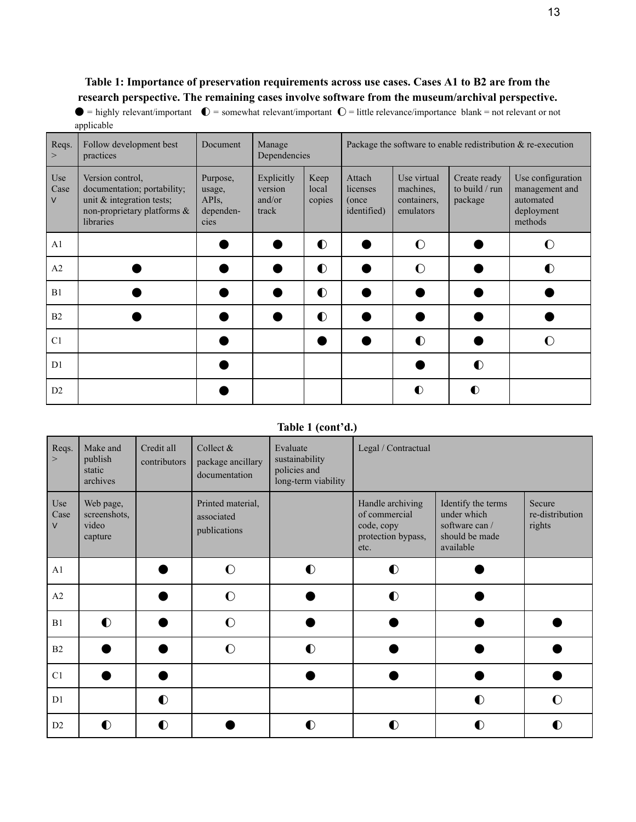### Table 1: Importance of preservation requirements across use cases. Cases A1 to B2 are from the research perspective. The remaining cases involve software from the museum/archival perspective.

 $\bullet$  = highly relevant/important  $\bullet$  = somewhat relevant/important  $\bullet$  = little relevance/importance blank = not relevant or not applicable

| Reqs.<br>>       | Follow development best<br>practices                                                                                        | Document                                                    | Manage<br>Dependencies                   |                         | Package the software to enable redistribution $\&$ re-execution |                                                      |                                           |                                                                           |  |
|------------------|-----------------------------------------------------------------------------------------------------------------------------|-------------------------------------------------------------|------------------------------------------|-------------------------|-----------------------------------------------------------------|------------------------------------------------------|-------------------------------------------|---------------------------------------------------------------------------|--|
| Use<br>Case<br>V | Version control,<br>documentation; portability;<br>unit $\&$ integration tests;<br>non-proprietary platforms &<br>libraries | Purpose,<br>usage,<br>API <sub>s</sub><br>dependen-<br>cies | Explicitly<br>version<br>and/or<br>track | Keep<br>local<br>copies | Attach<br>licenses<br>(once)<br><i>identified</i> )             | Use virtual<br>machines,<br>containers.<br>emulators | Create ready<br>to build / run<br>package | Use configuration<br>management and<br>automated<br>deployment<br>methods |  |
| A <sub>1</sub>   |                                                                                                                             |                                                             |                                          | $\bullet$               |                                                                 | $\Omega$                                             |                                           | €                                                                         |  |
| A2               |                                                                                                                             |                                                             |                                          | $\bullet$               |                                                                 | $\Omega$                                             |                                           |                                                                           |  |
| B1               |                                                                                                                             |                                                             |                                          | $\bullet$               |                                                                 |                                                      |                                           |                                                                           |  |
| B2               |                                                                                                                             |                                                             |                                          | $\bullet$               |                                                                 |                                                      |                                           |                                                                           |  |
| C <sub>1</sub>   |                                                                                                                             |                                                             |                                          |                         |                                                                 | $\bullet$                                            |                                           |                                                                           |  |
| D1               |                                                                                                                             |                                                             |                                          |                         |                                                                 |                                                      | $\bullet$                                 |                                                                           |  |
| D2               |                                                                                                                             |                                                             |                                          |                         |                                                                 | $\bullet$                                            |                                           |                                                                           |  |

### Table 1 (cont'd.)

| Reqs.<br>$\geq$       | Make and<br>publish<br>static<br>archives     | Credit all<br>contributors | Collect &<br>package ancillary<br>documentation | Evaluate<br>sustainability<br>policies and<br>long-term viability | Legal / Contractual                                                           |                                                                                    |                                     |
|-----------------------|-----------------------------------------------|----------------------------|-------------------------------------------------|-------------------------------------------------------------------|-------------------------------------------------------------------------------|------------------------------------------------------------------------------------|-------------------------------------|
| Use<br>Case<br>$\vee$ | Web page,<br>screenshots,<br>video<br>capture |                            | Printed material,<br>associated<br>publications |                                                                   | Handle archiving<br>of commercial<br>code, copy<br>protection bypass,<br>etc. | Identify the terms<br>under which<br>software can /<br>should be made<br>available | Secure<br>re-distribution<br>rights |
| A1                    |                                               |                            | $\Omega$                                        | $\bullet$                                                         | $\bullet$                                                                     |                                                                                    |                                     |
| A2                    |                                               |                            | $\mathbf O$                                     |                                                                   | $\bullet$                                                                     |                                                                                    |                                     |
| B1                    | $\bullet$                                     |                            | $\Omega$                                        |                                                                   |                                                                               |                                                                                    |                                     |
| B2                    |                                               |                            | $\Omega$                                        | $\bullet$                                                         |                                                                               |                                                                                    |                                     |
| C1                    |                                               |                            |                                                 |                                                                   |                                                                               |                                                                                    |                                     |
| D1                    |                                               | $\bullet$                  |                                                 |                                                                   |                                                                               | $\bullet$                                                                          | $\mathbf O$                         |
| D2                    | $\bullet$                                     | $\bullet$                  |                                                 | $\bf O$                                                           | O                                                                             | D                                                                                  |                                     |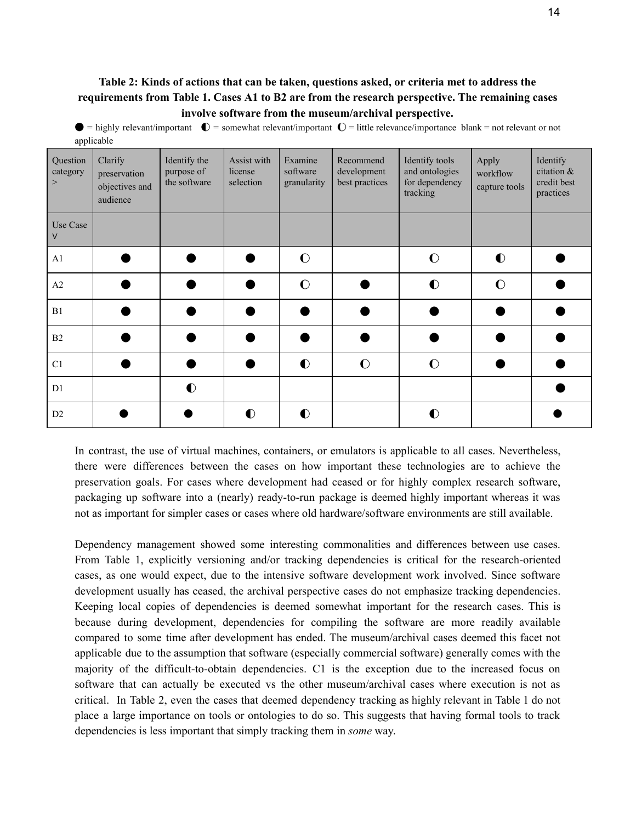### Table 2: Kinds of actions that can be taken, questions asked, or criteria met to address the requirements from Table 1. Cases A1 to B2 are from the research perspective. The remaining cases involve software from the museum/archival perspective.

 $\bullet$  = highly relevant/important  $\bullet$  = somewhat relevant/important  $\bullet$  = little relevance/importance blank = not relevant or not applicable

| Question<br>category<br>$\geq$ | Clarify<br>preservation<br>objectives and<br>audience | Identify the<br>purpose of<br>the software | Assist with<br>license<br>selection | Examine<br>software<br>granularity | Recommend<br>development<br>best practices | Identify tools<br>and ontologies<br>for dependency<br>tracking | Apply<br>workflow<br>capture tools | Identify<br>citation &<br>credit best<br>practices |
|--------------------------------|-------------------------------------------------------|--------------------------------------------|-------------------------------------|------------------------------------|--------------------------------------------|----------------------------------------------------------------|------------------------------------|----------------------------------------------------|
| Use Case<br>$\vee$             |                                                       |                                            |                                     |                                    |                                            |                                                                |                                    |                                                    |
| A1                             |                                                       |                                            |                                     | $\mathbf C$                        |                                            | $\Omega$                                                       | $\bullet$                          |                                                    |
| A2                             |                                                       |                                            |                                     | $\mathbf C$                        |                                            | $\bullet$                                                      | $\Omega$                           |                                                    |
| B1                             |                                                       |                                            |                                     |                                    |                                            |                                                                |                                    |                                                    |
| B2                             |                                                       |                                            |                                     |                                    |                                            |                                                                |                                    |                                                    |
| C1                             |                                                       |                                            |                                     | $\bullet$                          | $\Omega$                                   | $\Omega$                                                       |                                    |                                                    |
| D1                             |                                                       | $\bullet$                                  |                                     |                                    |                                            |                                                                |                                    |                                                    |
| D <sub>2</sub>                 |                                                       |                                            | $\bullet$                           | $\bullet$                          |                                            | $\bullet$                                                      |                                    |                                                    |

In contrast, the use of virtual machines, containers, or emulators is applicable to all cases. Nevertheless, there were differences between the cases on how important these technologies are to achieve the preservation goals. For cases where development had ceased or for highly complex research software, packaging up software into a (nearly) ready-to-run package is deemed highly important whereas it was not as important for simpler cases or cases where old hardware/software environments are still available.

Dependency management showed some interesting commonalities and differences between use cases. From Table 1, explicitly versioning and/or tracking dependencies is critical for the research-oriented cases, as one would expect, due to the intensive software development work involved. Since software development usually has ceased, the archival perspective cases do not emphasize tracking dependencies. Keeping local copies of dependencies is deemed somewhat important for the research cases. This is because during development, dependencies for compiling the software are more readily available compared to some time after development has ended. The museum/archival cases deemed this facet not applicable due to the assumption that software (especially commercial software) generally comes with the majority of the difficult-to-obtain dependencies. C1 is the exception due to the increased focus on software that can actually be executed vs the other museum/archival cases where execution is not as critical. In Table 2, even the cases that deemed dependency tracking as highly relevant in Table 1 do not place a large importance on tools or ontologies to do so. This suggests that having formal tools to track dependencies is less important that simply tracking them in *some* way.